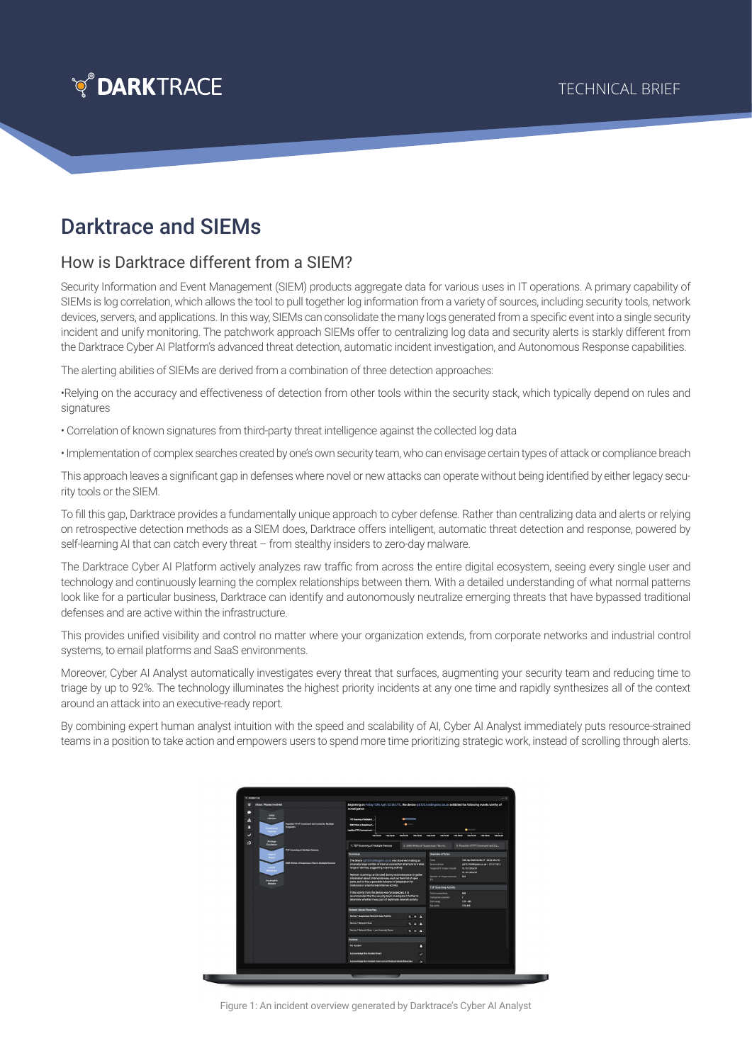

# Darktrace and SIEMs

## How is Darktrace different from a SIEM?

Security Information and Event Management (SIEM) products aggregate data for various uses in IT operations. A primary capability of SIEMs is log correlation, which allows the tool to pull together log information from a variety of sources, including security tools, network devices, servers, and applications. In this way, SIEMs can consolidate the many logs generated from a specific event into a single security incident and unify monitoring. The patchwork approach SIEMs offer to centralizing log data and security alerts is starkly different from the Darktrace Cyber AI Platform's advanced threat detection, automatic incident investigation, and Autonomous Response capabilities.

The alerting abilities of SIEMs are derived from a combination of three detection approaches:

•Relying on the accuracy and effectiveness of detection from other tools within the security stack, which typically depend on rules and signatures

• Correlation of known signatures from third-party threat intelligence against the collected log data

• Implementation of complex searches created by one's own security team, who can envisage certain types of attack or compliance breach

This approach leaves a significant gap in defenses where novel or new attacks can operate without being identified by either legacy security tools or the SIEM.

To fill this gap, Darktrace provides a fundamentally unique approach to cyber defense. Rather than centralizing data and alerts or relying on retrospective detection methods as a SIEM does, Darktrace offers intelligent, automatic threat detection and response, powered by self-learning AI that can catch every threat – from stealthy insiders to zero-day malware.

The Darktrace Cyber AI Platform actively analyzes raw traffic from across the entire digital ecosystem, seeing every single user and technology and continuously learning the complex relationships between them. With a detailed understanding of what normal patterns look like for a particular business, Darktrace can identify and autonomously neutralize emerging threats that have bypassed traditional defenses and are active within the infrastructure.

This provides unified visibility and control no matter where your organization extends, from corporate networks and industrial control systems, to email platforms and SaaS environments.

Moreover, Cyber AI Analyst automatically investigates every threat that surfaces, augmenting your security team and reducing time to triage by up to 92%. The technology illuminates the highest priority incidents at any one time and rapidly synthesizes all of the context around an attack into an executive-ready report.

By combining expert human analyst intuition with the speed and scalability of AI, Cyber AI Analyst immediately puts resource-strained teams in a position to take action and empowers users to spend more time prioritizing strategic work, instead of scrolling through alerts.



Figure 1: An incident overview generated by Darktrace's Cyber AI Analyst